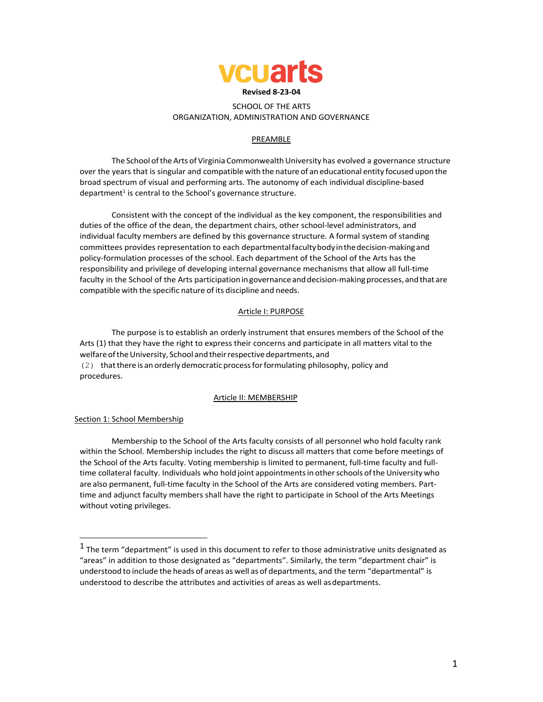

# SCHOOL OF THE ARTS ORGANIZATION, ADMINISTRATION AND GOVERNANCE

# PREAMBLE

The School of the Arts of Virginia Commonwealth University has evolved a governance structure over the years that is singular and compatiblewith the nature of an educational entity focused upon the broad spectrum of visual and performing arts. The autonomy of each individual discipline-based department $<sup>1</sup>$  is central to the School's governance structure.</sup>

Consistent with the concept of the individual as the key component, the responsibilities and duties of the office of the dean, the department chairs, other school-level administrators, and individual faculty members are defined by this governance structure. A formal system of standing committees provides representation to each departmentalfacultybodyinthedecision-makingand policy-formulation processes of the school. Each department of the School of the Arts has the responsibility and privilege of developing internal governance mechanisms that allow all full-time faculty in the School of the Arts participation in governance and decision-making processes, and that are compatible with the specific nature of its discipline and needs.

# Article I: PURPOSE

The purpose is to establish an orderly instrument that ensures members of the School of the Arts (1) that they have the right to express their concerns and participate in all matters vital to the welfare of the University, School and their respective departments, and (2) thatthere is an orderly democratic processforformulating philosophy, policy and procedures.

# Article II: MEMBERSHIP

# Section 1: School Membership

Membership to the School of the Arts faculty consists of all personnel who hold faculty rank within the School. Membership includes the right to discuss all matters that come before meetings of the School of the Arts faculty. Voting membership is limited to permanent, full-time faculty and fulltime collateral faculty. Individuals who hold joint appointments in other schools of the University who are also permanent, full-time faculty in the School of the Arts are considered voting members. Parttime and adjunct faculty members shall have the right to participate in School of the Arts Meetings without voting privileges.

 $1$  The term "department" is used in this document to refer to those administrative units designated as "areas" in addition to those designated as "departments". Similarly, the term "department chair" is understood to include the heads of areas as well as of departments, and the term "departmental" is understood to describe the attributes and activities of areas as well asdepartments.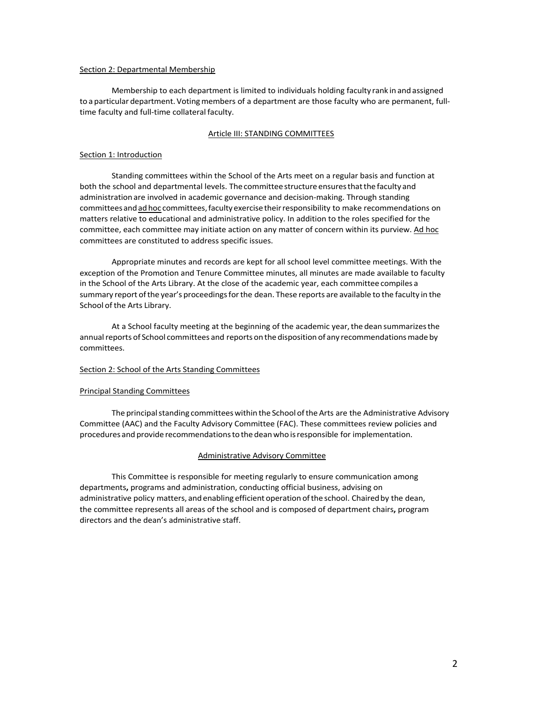## Section 2: Departmental Membership

Membership to each department is limited to individuals holding faculty rank in and assigned to a particular department. Voting members of a department are those faculty who are permanent, fulltime faculty and full-time collateral faculty.

## Article III: STANDING COMMITTEES

## Section 1: Introduction

Standing committees within the School of the Arts meet on a regular basis and function at both the school and departmental levels. The committee structure ensuresthatthe faculty and administrationare involved in academic governance and decision-making. Through standing committeesandadhoc committees,facultyexercisetheirresponsibility to make recommendations on matters relative to educational and administrative policy. In addition to the roles specified for the committee, each committee may initiate action on any matter of concern within its purview. Ad hoc committees are constituted to address specific issues.

Appropriate minutes and records are kept for all school level committee meetings. With the exception of the Promotion and Tenure Committee minutes, all minutes are made available to faculty in the School of the Arts Library. At the close of the academic year, each committee compiles a summary report ofthe year's proceedingsforthe dean. These reports are available to the faculty in the School of the Arts Library.

At a School faculty meeting at the beginning of the academic year, the dean summarizes the annual reports of School committees and reports on the disposition of any recommendations made by committees.

# Section 2: School of the Arts Standing Committees

# Principal Standing Committees

The principal standing committees within the School of the Arts are the Administrative Advisory Committee (AAC) and the Faculty Advisory Committee (FAC). These committees review policies and procedures and provide recommendations to the dean who is responsible for implementation.

# Administrative Advisory Committee

This Committee is responsible for meeting regularly to ensure communication among departments**,** programs and administration, conducting official business, advising on administrative policy matters, and enabling efficient operation of the school. Chaired by the dean, the committee represents all areas of the school and is composed of department chairs**,** program directors and the dean's administrative staff.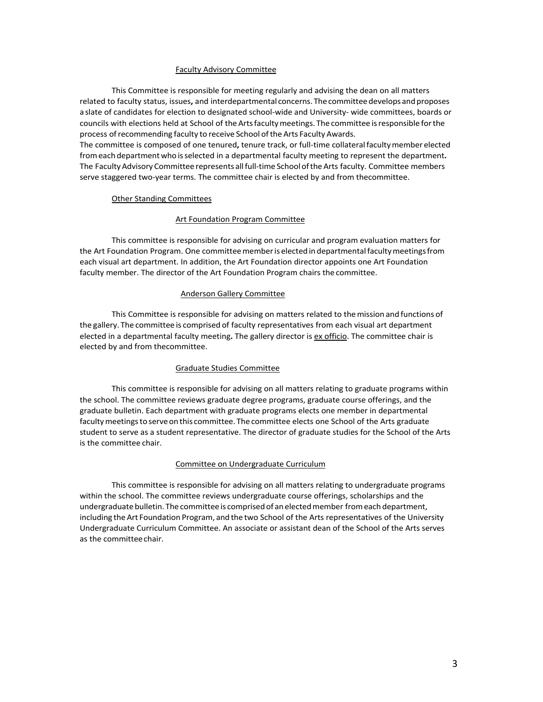#### Faculty Advisory Committee

This Committee is responsible for meeting regularly and advising the dean on all matters related to faculty status, issues**,** and interdepartmental concerns. Thecommitteedevelopsandproposes a slate of candidates for election to designated school-wide and University- wide committees, boards or councils with elections held at School of theArtsfacultymeetings. The committee isresponsible forthe process of recommending faculty to receive School of the Arts Faculty Awards. The committee is composed of one tenured**,** tenure track, or full-time collateralfacultymember elected from each department who is selected in a departmental faculty meeting to represent the department. The Faculty Advisory Committee represents all full-time School of the Arts faculty. Committee members

#### Other Standing Committees

#### Art Foundation Program Committee

serve staggered two-year terms. The committee chair is elected by and from thecommittee.

This committee is responsible for advising on curricular and program evaluation matters for the Art Foundation Program. One committee member is elected in departmental faculty meetings from each visual art department. In addition, the Art Foundation director appoints one Art Foundation faculty member. The director of the Art Foundation Program chairs the committee.

#### Anderson Gallery Committee

This Committee is responsible for advising on matters related to themission and functions of the gallery. The committee is comprised of faculty representatives from each visual art department elected in a departmental faculty meeting**.** The gallery director is ex officio. The committee chair is elected by and from thecommittee.

#### Graduate Studies Committee

This committee is responsible for advising on all matters relating to graduate programs within the school. The committee reviews graduate degree programs, graduate course offerings, and the graduate bulletin. Each department with graduate programs elects one member in departmental faculty meetings to serve on this committee. The committee elects one School of the Arts graduate student to serve as a student representative. The director of graduate studies for the School of the Arts is the committee chair.

## Committee on Undergraduate Curriculum

This committee is responsible for advising on all matters relating to undergraduate programs within the school. The committee reviews undergraduate course offerings, scholarships and the undergraduate bulletin. The committee is comprised of an elected member from each department, including theArt Foundation Program, and the two School of the Arts representatives of the University Undergraduate Curriculum Committee. An associate or assistant dean of the School of the Arts serves as the committeechair.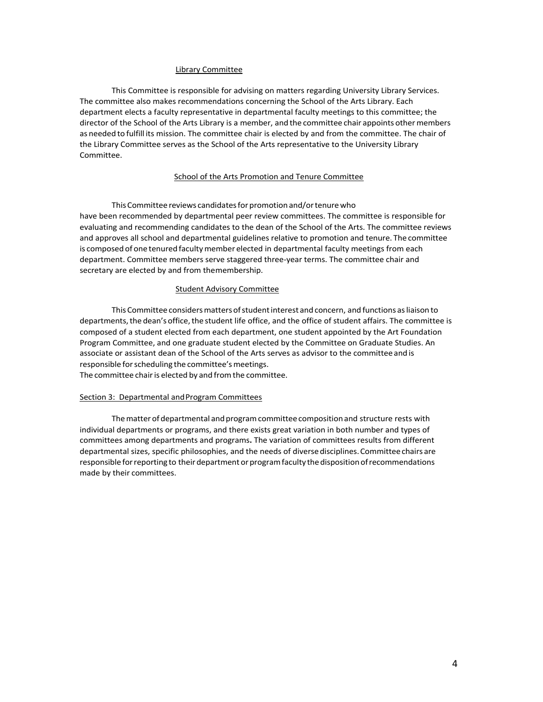## Library Committee

This Committee is responsible for advising on matters regarding University Library Services. The committee also makes recommendations concerning the School of the Arts Library. Each department elects a faculty representative in departmental faculty meetings to this committee; the director of the School of the Arts Library is a member, and the committee chair appoints other members as needed to fulfill its mission. The committee chair is elected by and from the committee. The chair of the Library Committee serves as the School of the Arts representative to the University Library Committee.

### School of the Arts Promotion and Tenure Committee

This Committee reviews candidates for promotion and/or tenure who have been recommended by departmental peer review committees. The committee is responsible for evaluating and recommending candidates to the dean of the School of the Arts. The committee reviews and approves all school and departmental guidelines relative to promotion and tenure. The committee is composed of one tenured faculty member elected in departmental faculty meetings from each department. Committee members serve staggered three-year terms. The committee chair and secretary are elected by and from themembership.

## Student Advisory Committee

This Committee considers matters of student interest and concern, and functions as liaison to departments, the dean's office, the student life office, and the office of student affairs. The committee is composed of a student elected from each department, one student appointed by the Art Foundation Program Committee, and one graduate student elected by the Committee on Graduate Studies. An associate or assistant dean of the School of the Arts serves as advisor to the committee and is responsible for scheduling the committee's meetings.

The committee chair is elected by and from the committee.

# Section 3: Departmental andProgram Committees

The matter of departmental and program committee composition and structure rests with individual departments or programs, and there exists great variation in both number and types of committees among departments and programs**.** The variation of committees results from different departmental sizes, specific philosophies, and the needs of diverse disciplines. Committee chairs are responsible for reporting to their department or program faculty the disposition of recommendations made by their committees.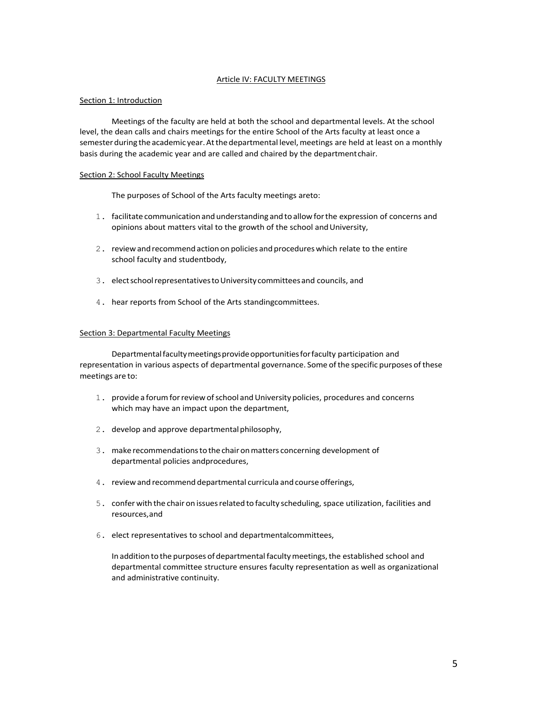# Article IV: FACULTY MEETINGS

# Section 1: Introduction

Meetings of the faculty are held at both the school and departmental levels. At the school level, the dean calls and chairs meetings for the entire School of the Arts faculty at least once a semester during the academic year. At the departmental level, meetings are held at least on a monthly basis during the academic year and are called and chaired by the departmentchair.

# Section 2: School Faculty Meetings

The purposes of School of the Arts faculty meetings areto:

- 1. facilitate communicationandunderstanding andtoallowforthe expression of concerns and opinions about matters vital to the growth of the school and University,
- 2. review and recommend action on policies and procedures which relate to the entire school faculty and studentbody,
- 3. elect school representatives to University committees and councils, and
- 4. hear reports from School of the Arts standingcommittees.

# Section 3: Departmental Faculty Meetings

Departmental faculty meetings provide opportunities for faculty participation and representation in various aspects of departmental governance. Some of the specific purposes of these meetings are to:

- 1. provide a forumforreview ofschool andUniversity policies, procedures and concerns which may have an impact upon the department,
- 2. develop and approve departmental philosophy,
- 3. make recommendationstothe chaironmatters concerning development of departmental policies andprocedures,
- 4. reviewand recommend departmental curricula and course offerings,
- 5. conferwith the chair on issuesrelated to faculty scheduling, space utilization, facilities and resources,and
- 6. elect representatives to school and departmentalcommittees,

In addition to the purposes of departmental faculty meetings, the established school and departmental committee structure ensures faculty representation as well as organizational and administrative continuity.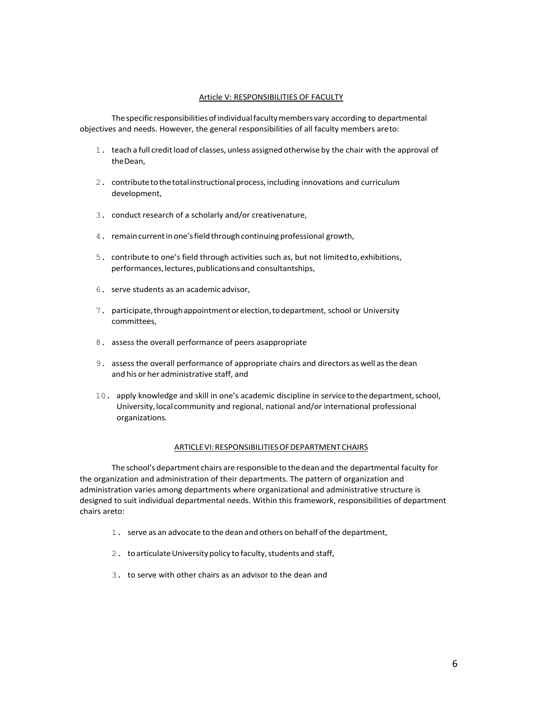## Article V: RESPONSIBILITIES OF FACULTY

The specific responsibilities of individual faculty members vary according to departmental objectives and needs. However, the general responsibilities of all faculty members areto:

- 1. teach a full credit load of classes, unless assigned otherwise by the chair with the approval of theDean,
- 2. contribute to the total instructional process, including innovations and curriculum development,
- 3. conduct research of a scholarly and/or creativenature,
- 4. remain current in one's field through continuing professional growth,
- 5. contribute to one's field through activities such as, but not limitedto,exhibitions, performances, lectures, publications and consultantships,
- 6. serve students as an academicadvisor,
- 7. participate,throughappointmentorelection,todepartment, school or University committees,
- 8. assess the overall performance of peers asappropriate
- 9. assess the overall performance of appropriate chairs and directors as well asthe dean and his or her administrative staff, and
- 10. apply knowledge and skill in one's academic discipline in servicetothedepartment,school, University,local community and regional, national and/or international professional organizations.

#### ARTICLEVI:RESPONSIBILITIESOFDEPARTMENTCHAIRS

The school's department chairs are responsible to the dean and the departmental faculty for the organization and administration of their departments. The pattern of organization and administration varies among departments where organizational and administrative structure is designed to suit individual departmental needs. Within this framework, responsibilities of department chairs areto:

- 1. serve as an advocate to the dean and others on behalf ofthe department,
- 2. to articulate University policy to faculty, students and staff,
- 3. to serve with other chairs as an advisor to the dean and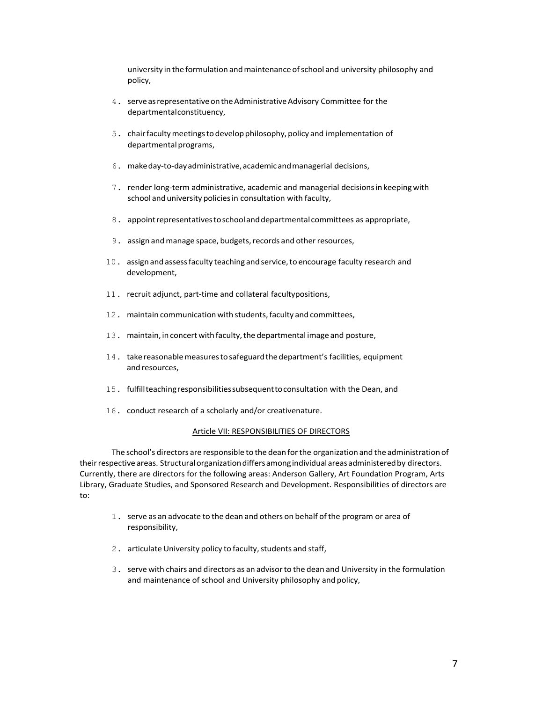university in the formulation andmaintenance ofschool and university philosophy and policy,

- 4. serve as representative on the Administrative Advisory Committee for the departmentalconstituency,
- 5. chairfacultymeetingstodevelopphilosophy,policy and implementation of departmental programs,
- 6. makeday-to-dayadministrative,academicandmanagerial decisions,
- 7. render long-term administrative, academic and managerial decisionsin keepingwith school and university policies in consultation with faculty,
- 8. appointrepresentativestoschoolanddepartmental committees as appropriate,
- 9. assign and manage space, budgets, records and other resources,
- 10. assign and assess faculty teaching and service, to encourage faculty research and development,
- 11. recruit adjunct, part-time and collateral facultypositions,
- 12. maintain communication with students,faculty and committees,
- 13. maintain, in concertwithfaculty,the departmental image and posture,
- 14. takereasonablemeasurestosafeguardthedepartment's facilities, equipment and resources,
- 15. fulfillteachingresponsibilitiessubsequenttoconsultation with the Dean, and
- 16. conduct research of a scholarly and/or creativenature.

## Article VII: RESPONSIBILITIES OF DIRECTORS

The school's directors are responsible to the dean forthe organization and the administration of their respective areas. Structural organization differs among individual areas administered by directors. Currently, there are directors for the following areas: Anderson Gallery, Art Foundation Program, Arts Library, Graduate Studies, and Sponsored Research and Development. Responsibilities of directors are to:

- 1. serve as an advocate to the dean and others on behalf ofthe program or area of responsibility,
- 2. articulate University policy to faculty, students and staff,
- 3. serve with chairs and directors as an advisorto the dean and University in the formulation and maintenance of school and University philosophy and policy,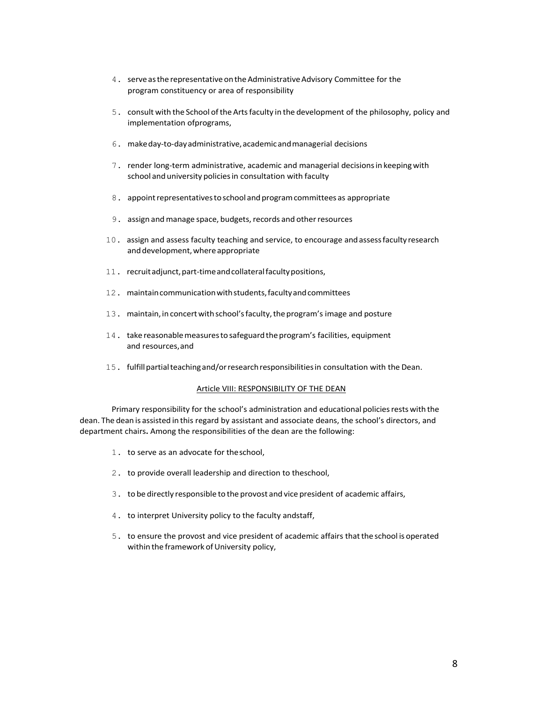- 4. serveasthe representativeontheAdministrativeAdvisory Committee for the program constituency or area of responsibility
- 5. consult with the School ofthe Artsfaculty in the development of the philosophy, policy and implementation ofprograms,
- 6. makeday-to-dayadministrative,academicandmanagerial decisions
- 7. render long-term administrative, academic and managerial decisionsin keepingwith school and university policies in consultation with faculty
- 8. appoint representatives to school and program committees as appropriate
- 9. assign and manage space, budgets, records and other resources
- 10. assign and assess faculty teaching and service, to encourage andassessfaculty research and development, where appropriate
- 11. recruitadjunct,part-timeandcollateralfacultypositions,
- 12. maintaincommunicationwithstudents,facultyandcommittees
- 13. maintain, inconcertwithschool'sfaculty,theprogram's image and posture
- 14. take reasonable measures to safeguard the program's facilities, equipment and resources,and
- 15. fulfillpartialteachingand/orresearchresponsibilitiesin consultation with the Dean.

#### Article VIII: RESPONSIBILITY OF THE DEAN

Primary responsibility for the school's administration and educational policies rests with the dean. The dean is assisted in this regard by assistant and associate deans, the school's directors, and department chairs**.** Among the responsibilities of the dean are the following:

- 1. to serve as an advocate for theschool,
- 2. to provide overall leadership and direction to theschool,
- 3. to be directly responsible to the provost and vice president of academic affairs,
- 4. to interpret University policy to the faculty andstaff,
- 5. to ensure the provost and vice president of academic affairs thatthe school is operated within the framework of University policy,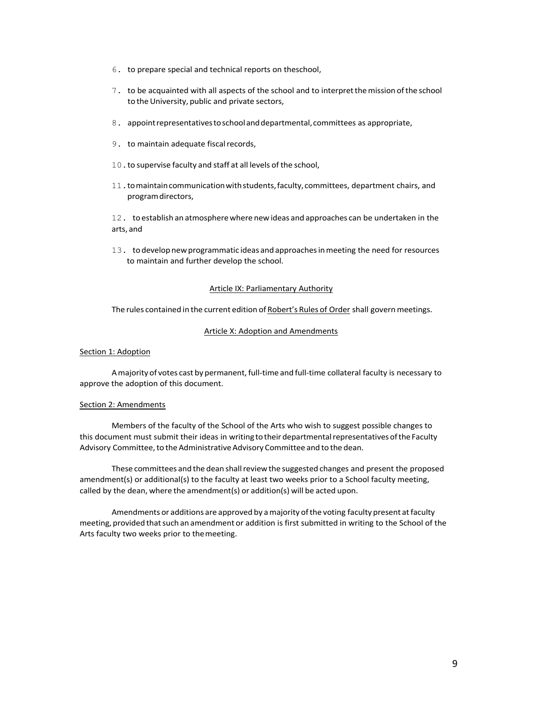- 6. to prepare special and technical reports on theschool,
- 7. to be acquainted with all aspects of the school and to interpretthemission ofthe school to the University, public and private sectors,
- 8. appointrepresentativestoschoolanddepartmental,committees as appropriate,
- 9. to maintain adequate fiscal records,
- 10. to supervise faculty and staff at all levels of the school,
- 11.tomaintaincommunicationwithstudents,faculty,committees, department chairs, and programdirectors,

12. to establish an atmospherewhere new ideas and approaches can be undertaken in the arts, and

13. to develop newprogrammatic ideas and approachesinmeeting the need for resources to maintain and further develop the school.

## Article IX: Parliamentary Authority

The rules contained in the current edition of Robert's Rules of Order shall govern meetings.

# Article X: Adoption and Amendments

#### Section 1: Adoption

A majority of votes cast by permanent, full-time and full-time collateral faculty is necessary to approve the adoption of this document.

#### Section 2: Amendments

Members of the faculty of the School of the Arts who wish to suggest possible changes to this document must submit their ideas in writing to their departmental representatives of the Faculty Advisory Committee, to the Administrative Advisory Committee and to the dean.

These committees and the dean shallreviewthe suggested changes and present the proposed amendment(s) or additional(s) to the faculty at least two weeks prior to a School faculty meeting, called by the dean, where the amendment(s) or addition(s) will be acted upon.

Amendments or additions are approved by a majority of the voting faculty present at faculty meeting, provided that such an amendment or addition is first submitted in writing to the School of the Arts faculty two weeks prior to themeeting.